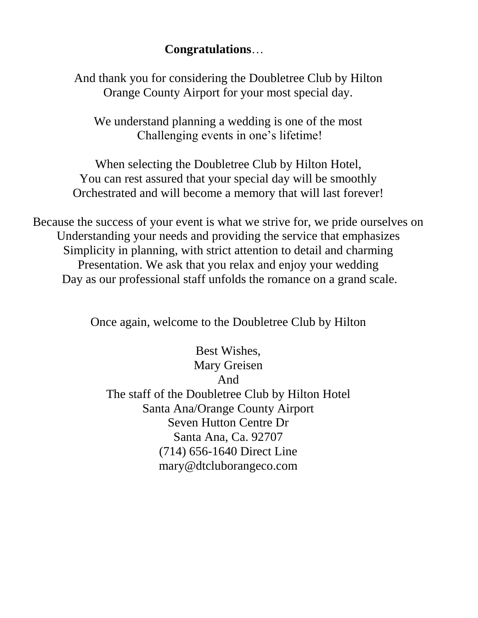## **Congratulations**…

And thank you for considering the Doubletree Club by Hilton Orange County Airport for your most special day.

We understand planning a wedding is one of the most Challenging events in one's lifetime!

When selecting the Doubletree Club by Hilton Hotel, You can rest assured that your special day will be smoothly Orchestrated and will become a memory that will last forever!

Because the success of your event is what we strive for, we pride ourselves on Understanding your needs and providing the service that emphasizes Simplicity in planning, with strict attention to detail and charming Presentation. We ask that you relax and enjoy your wedding Day as our professional staff unfolds the romance on a grand scale.

Once again, welcome to the Doubletree Club by Hilton

Best Wishes, Mary Greisen And The staff of the Doubletree Club by Hilton Hotel Santa Ana/Orange County Airport Seven Hutton Centre Dr Santa Ana, Ca. 92707 (714) 656-1640 Direct Line mary@dtcluborangeco.com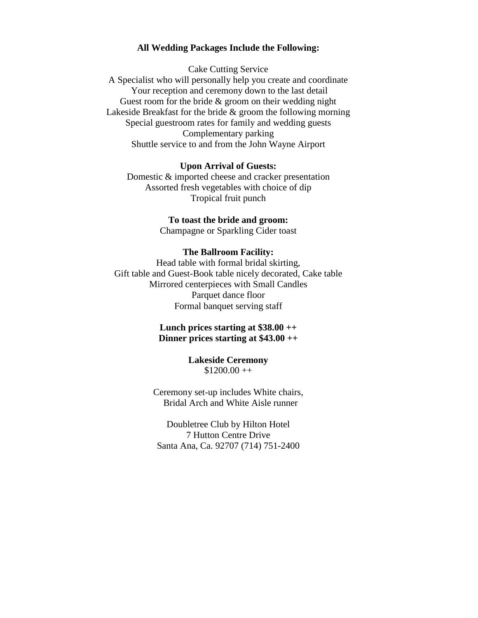#### **All Wedding Packages Include the Following:**

Cake Cutting Service A Specialist who will personally help you create and coordinate Your reception and ceremony down to the last detail Guest room for the bride & groom on their wedding night Lakeside Breakfast for the bride & groom the following morning Special guestroom rates for family and wedding guests Complementary parking Shuttle service to and from the John Wayne Airport

#### **Upon Arrival of Guests:**

Domestic & imported cheese and cracker presentation Assorted fresh vegetables with choice of dip Tropical fruit punch

# **To toast the bride and groom:**

Champagne or Sparkling Cider toast

#### **The Ballroom Facility:**

Head table with formal bridal skirting, Gift table and Guest-Book table nicely decorated, Cake table Mirrored centerpieces with Small Candles Parquet dance floor Formal banquet serving staff

## **Lunch prices starting at \$38.00 ++ Dinner prices starting at \$43.00 ++**

#### **Lakeside Ceremony**  $$1200.00 ++$

Ceremony set-up includes White chairs, Bridal Arch and White Aisle runner

Doubletree Club by Hilton Hotel 7 Hutton Centre Drive Santa Ana, Ca. 92707 (714) 751-2400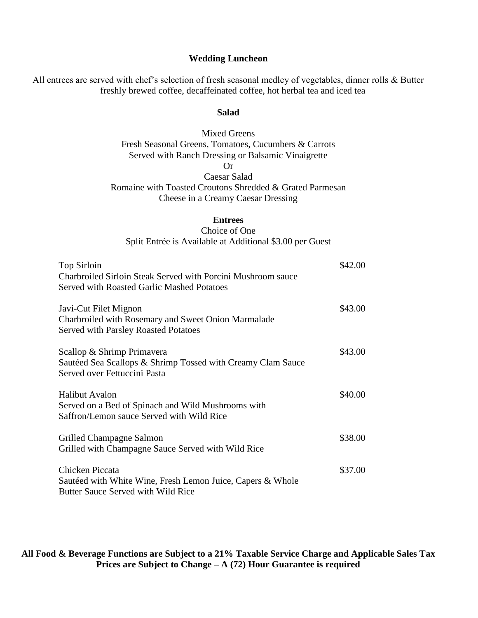### **Wedding Luncheon**

All entrees are served with chef's selection of fresh seasonal medley of vegetables, dinner rolls & Butter freshly brewed coffee, decaffeinated coffee, hot herbal tea and iced tea

#### **Salad**

## Mixed Greens Fresh Seasonal Greens, Tomatoes, Cucumbers & Carrots Served with Ranch Dressing or Balsamic Vinaigrette Or Caesar Salad

Romaine with Toasted Croutons Shredded & Grated Parmesan Cheese in a Creamy Caesar Dressing

## **Entrees**

#### Choice of One

Split Entrée is Available at Additional \$3.00 per Guest

| Top Sirloin<br>Charbroiled Sirloin Steak Served with Porcini Mushroom sauce<br>Served with Roasted Garlic Mashed Potatoes   | \$42.00 |
|-----------------------------------------------------------------------------------------------------------------------------|---------|
| Javi-Cut Filet Mignon<br>Charbroiled with Rosemary and Sweet Onion Marmalade<br><b>Served with Parsley Roasted Potatoes</b> | \$43.00 |
| Scallop & Shrimp Primavera<br>Sautéed Sea Scallops & Shrimp Tossed with Creamy Clam Sauce<br>Served over Fettuccini Pasta   | \$43.00 |
| <b>Halibut Avalon</b><br>Served on a Bed of Spinach and Wild Mushrooms with<br>Saffron/Lemon sauce Served with Wild Rice    | \$40.00 |
| Grilled Champagne Salmon<br>Grilled with Champagne Sauce Served with Wild Rice                                              | \$38.00 |
| Chicken Piccata<br>Sautéed with White Wine, Fresh Lemon Juice, Capers & Whole<br>Butter Sauce Served with Wild Rice         | \$37.00 |

**All Food & Beverage Functions are Subject to a 21% Taxable Service Charge and Applicable Sales Tax Prices are Subject to Change – A (72) Hour Guarantee is required**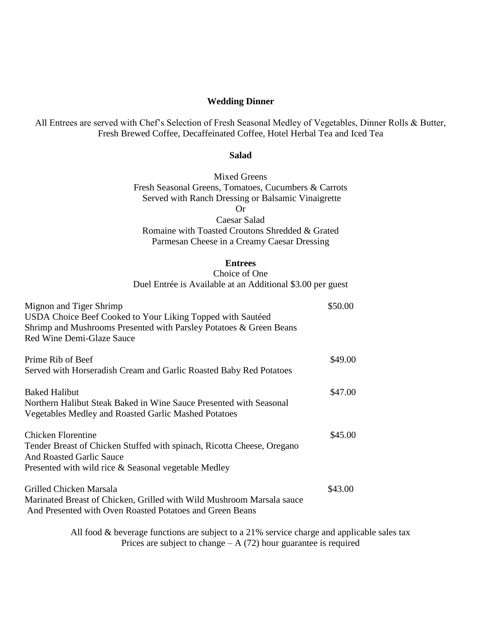#### **Wedding Dinner**

All Entrees are served with Chef's Selection of Fresh Seasonal Medley of Vegetables, Dinner Rolls & Butter, Fresh Brewed Coffee, Decaffeinated Coffee, Hotel Herbal Tea and Iced Tea

#### **Salad**

Mixed Greens Fresh Seasonal Greens, Tomatoes, Cucumbers & Carrots Served with Ranch Dressing or Balsamic Vinaigrette Or

Caesar Salad Romaine with Toasted Croutons Shredded & Grated Parmesan Cheese in a Creamy Caesar Dressing

#### **Entrees**

Choice of One Duel Entrée is Available at an Additional \$3.00 per guest

| Mignon and Tiger Shrimp<br>USDA Choice Beef Cooked to Your Liking Topped with Sautéed<br>Shrimp and Mushrooms Presented with Parsley Potatoes & Green Beans<br>Red Wine Demi-Glaze Sauce | \$50.00 |
|------------------------------------------------------------------------------------------------------------------------------------------------------------------------------------------|---------|
| Prime Rib of Beef                                                                                                                                                                        | \$49.00 |
| Served with Horseradish Cream and Garlic Roasted Baby Red Potatoes                                                                                                                       |         |
| <b>Baked Halibut</b>                                                                                                                                                                     | \$47.00 |
| Northern Halibut Steak Baked in Wine Sauce Presented with Seasonal                                                                                                                       |         |
| Vegetables Medley and Roasted Garlic Mashed Potatoes                                                                                                                                     |         |
| Chicken Florentine                                                                                                                                                                       | \$45.00 |
| Tender Breast of Chicken Stuffed with spinach, Ricotta Cheese, Oregano                                                                                                                   |         |
| <b>And Roasted Garlic Sauce</b>                                                                                                                                                          |         |
| Presented with wild rice & Seasonal vegetable Medley                                                                                                                                     |         |
| Grilled Chicken Marsala                                                                                                                                                                  | \$43.00 |
| Marinated Breast of Chicken, Grilled with Wild Mushroom Marsala sauce<br>And Presented with Oven Roasted Potatoes and Green Beans                                                        |         |

All food & beverage functions are subject to a 21% service charge and applicable sales tax Prices are subject to change  $- A$  (72) hour guarantee is required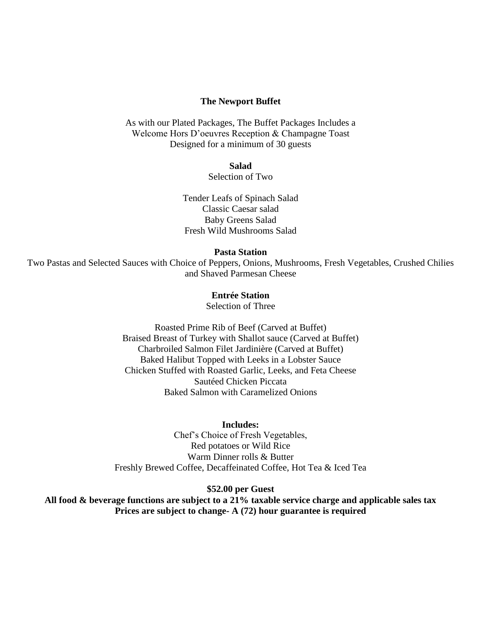#### **The Newport Buffet**

As with our Plated Packages, The Buffet Packages Includes a Welcome Hors D'oeuvres Reception & Champagne Toast Designed for a minimum of 30 guests

**Salad** 

Selection of Two

Tender Leafs of Spinach Salad Classic Caesar salad Baby Greens Salad Fresh Wild Mushrooms Salad

**Pasta Station**

Two Pastas and Selected Sauces with Choice of Peppers, Onions, Mushrooms, Fresh Vegetables, Crushed Chilies and Shaved Parmesan Cheese

### **Entrée Station**

Selection of Three

Roasted Prime Rib of Beef (Carved at Buffet) Braised Breast of Turkey with Shallot sauce (Carved at Buffet) Charbroiled Salmon Filet Jardinière (Carved at Buffet) Baked Halibut Topped with Leeks in a Lobster Sauce Chicken Stuffed with Roasted Garlic, Leeks, and Feta Cheese Sautéed Chicken Piccata Baked Salmon with Caramelized Onions

**Includes:** Chef's Choice of Fresh Vegetables, Red potatoes or Wild Rice Warm Dinner rolls & Butter Freshly Brewed Coffee, Decaffeinated Coffee, Hot Tea & Iced Tea

**\$52.00 per Guest**

**All food & beverage functions are subject to a 21% taxable service charge and applicable sales tax Prices are subject to change- A (72) hour guarantee is required**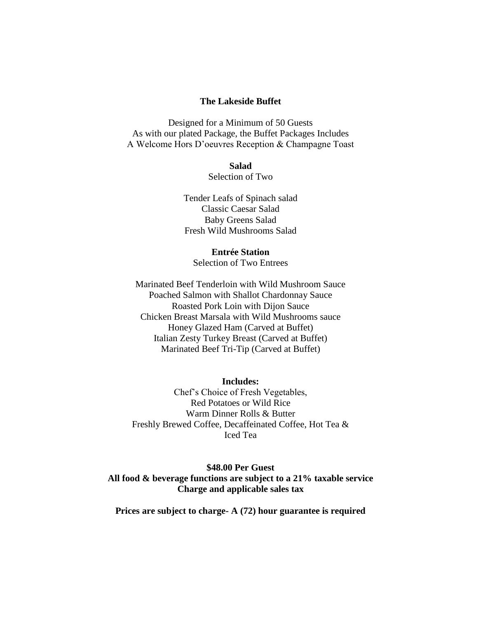#### **The Lakeside Buffet**

Designed for a Minimum of 50 Guests As with our plated Package, the Buffet Packages Includes A Welcome Hors D'oeuvres Reception & Champagne Toast

**Salad**

Selection of Two

Tender Leafs of Spinach salad Classic Caesar Salad Baby Greens Salad Fresh Wild Mushrooms Salad

**Entrée Station** Selection of Two Entrees

Marinated Beef Tenderloin with Wild Mushroom Sauce Poached Salmon with Shallot Chardonnay Sauce Roasted Pork Loin with Dijon Sauce Chicken Breast Marsala with Wild Mushrooms sauce Honey Glazed Ham (Carved at Buffet) Italian Zesty Turkey Breast (Carved at Buffet) Marinated Beef Tri-Tip (Carved at Buffet)

**Includes:**

Chef's Choice of Fresh Vegetables, Red Potatoes or Wild Rice Warm Dinner Rolls & Butter Freshly Brewed Coffee, Decaffeinated Coffee, Hot Tea & Iced Tea

**\$48.00 Per Guest All food & beverage functions are subject to a 21% taxable service Charge and applicable sales tax**

**Prices are subject to charge- A (72) hour guarantee is required**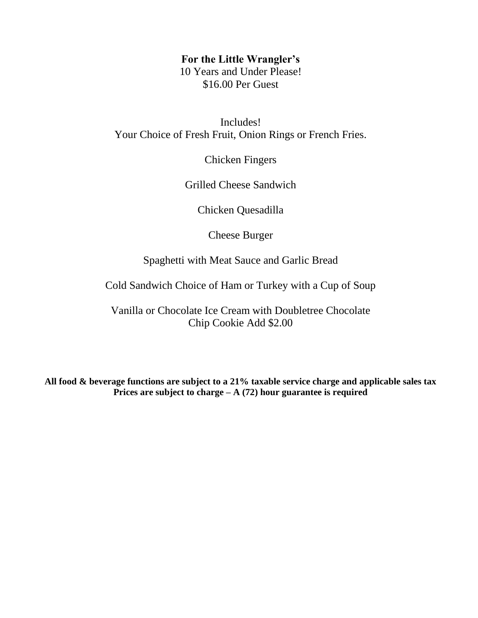## **For the Little Wrangler's**

10 Years and Under Please! \$16.00 Per Guest

Includes! Your Choice of Fresh Fruit, Onion Rings or French Fries.

Chicken Fingers

Grilled Cheese Sandwich

Chicken Quesadilla

Cheese Burger

Spaghetti with Meat Sauce and Garlic Bread

Cold Sandwich Choice of Ham or Turkey with a Cup of Soup

Vanilla or Chocolate Ice Cream with Doubletree Chocolate Chip Cookie Add \$2.00

**All food & beverage functions are subject to a 21% taxable service charge and applicable sales tax Prices are subject to charge – A (72) hour guarantee is required**